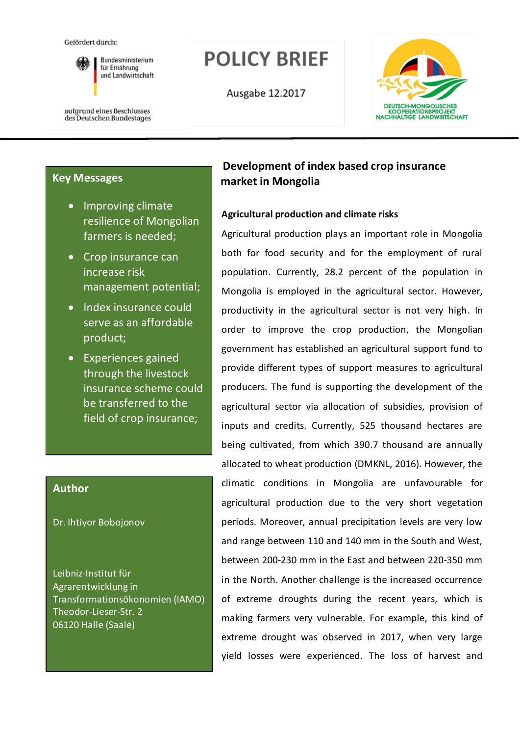Gefördert durch:



**Rundesministerium** für Ernährung und Landwirtschaft **POLICY BRIEF** 

Ausgabe 12.2017



aufgrund eines Beschlusses des Deutschen Bundestages

## **Key Messages**

- Improving climate resilience of Mongolian farmers is needed;
- Crop insurance can increase risk management potential;
- Index insurance could serve as an affordable product;
- Experiences gained through the livestock insurance scheme could be transferred to the field of crop insurance;

## **Author**

Dr. Ihtiyor Bobojonov

Leibniz-Institut für Agrarentwicklung in Transformationsökonomien (IAMO) Theodor-Lieser-Str. 2 06120 Halle (Saale)

# **Development of index based crop insurance market in Mongolia**

## **Agricultural production and climate risks**

Agricultural production plays an important role in Mongolia both for food security and for the employment of rural population. Currently, 28.2 percent of the population in Mongolia is employed in the agricultural sector. However, productivity in the agricultural sector is not very high. In order to improve the crop production, the Mongolian government has established an agricultural support fund to provide different types of support measures to agricultural producers. The fund is supporting the development of the agricultural sector via allocation of subsidies, provision of inputs and credits. Currently, 525 thousand hectares are being cultivated, from which 390.7 thousand are annually allocated to wheat production (DMKNL, 2016). However, the climatic conditions in Mongolia are unfavourable for agricultural production due to the very short vegetation periods. Moreover, annual precipitation levels are very low and range between 110 and 140 mm in the South and West, between 200-230 mm in the East and between 220-350 mm in the North. Another challenge is the increased occurrence of extreme droughts during the recent years, which is making farmers very vulnerable. For example, this kind of extreme drought was observed in 2017, when very large yield losses were experienced. The loss of harvest and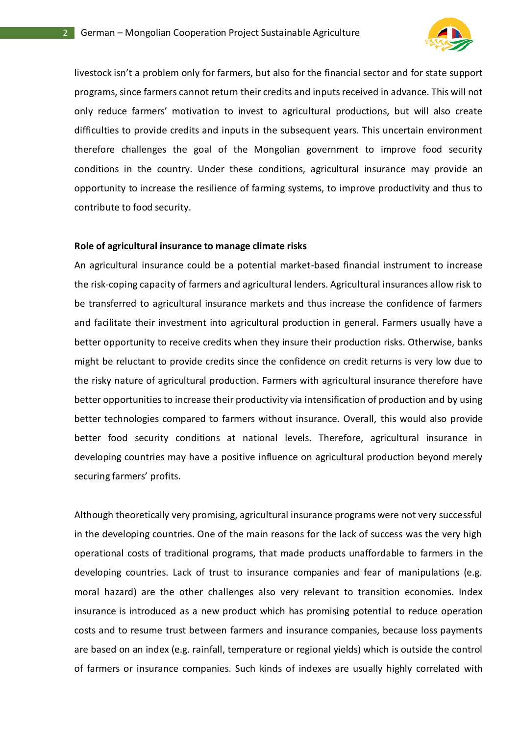

livestock isn't a problem only for farmers, but also for the financial sector and for state support programs, since farmers cannot return their credits and inputs received in advance. This will not only reduce farmers' motivation to invest to agricultural productions, but will also create difficulties to provide credits and inputs in the subsequent years. This uncertain environment therefore challenges the goal of the Mongolian government to improve food security conditions in the country. Under these conditions, agricultural insurance may provide an opportunity to increase the resilience of farming systems, to improve productivity and thus to contribute to food security.

#### **Role of agricultural insurance to manage climate risks**

An agricultural insurance could be a potential market-based financial instrument to increase the risk-coping capacity of farmers and agricultural lenders. Agricultural insurances allow risk to be transferred to agricultural insurance markets and thus increase the confidence of farmers and facilitate their investment into agricultural production in general. Farmers usually have a better opportunity to receive credits when they insure their production risks. Otherwise, banks might be reluctant to provide credits since the confidence on credit returns is very low due to the risky nature of agricultural production. Farmers with agricultural insurance therefore have better opportunities to increase their productivity via intensification of production and by using better technologies compared to farmers without insurance. Overall, this would also provide better food security conditions at national levels. Therefore, agricultural insurance in developing countries may have a positive influence on agricultural production beyond merely securing farmers' profits.

Although theoretically very promising, agricultural insurance programs were not very successful in the developing countries. One of the main reasons for the lack of success was the very high operational costs of traditional programs, that made products unaffordable to farmers in the developing countries. Lack of trust to insurance companies and fear of manipulations (e.g. moral hazard) are the other challenges also very relevant to transition economies. Index insurance is introduced as a new product which has promising potential to reduce operation costs and to resume trust between farmers and insurance companies, because loss payments are based on an index (e.g. rainfall, temperature or regional yields) which is outside the control of farmers or insurance companies. Such kinds of indexes are usually highly correlated with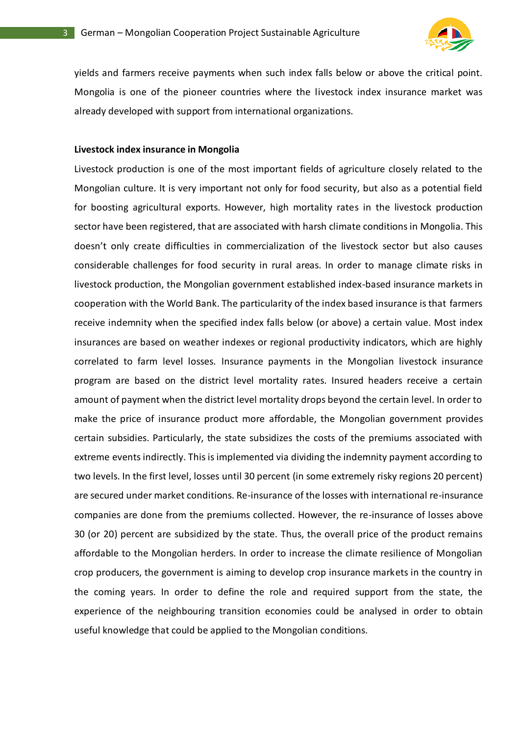

yields and farmers receive payments when such index falls below or above the critical point. Mongolia is one of the pioneer countries where the livestock index insurance market was already developed with support from international organizations.

#### **Livestock index insurance in Mongolia**

Livestock production is one of the most important fields of agriculture closely related to the Mongolian culture. It is very important not only for food security, but also as a potential field for boosting agricultural exports. However, high mortality rates in the livestock production sector have been registered, that are associated with harsh climate conditions in Mongolia. This doesn't only create difficulties in commercialization of the livestock sector but also causes considerable challenges for food security in rural areas. In order to manage climate risks in livestock production, the Mongolian government established index-based insurance markets in cooperation with the World Bank. The particularity of the index based insurance is that farmers receive indemnity when the specified index falls below (or above) a certain value. Most index insurances are based on weather indexes or regional productivity indicators, which are highly correlated to farm level losses. Insurance payments in the Mongolian livestock insurance program are based on the district level mortality rates. Insured headers receive a certain amount of payment when the district level mortality drops beyond the certain level. In order to make the price of insurance product more affordable, the Mongolian government provides certain subsidies. Particularly, the state subsidizes the costs of the premiums associated with extreme events indirectly. This is implemented via dividing the indemnity payment according to two levels. In the first level, losses until 30 percent (in some extremely risky regions 20 percent) are secured under market conditions. Re-insurance of the losses with international re-insurance companies are done from the premiums collected. However, the re-insurance of losses above 30 (or 20) percent are subsidized by the state. Thus, the overall price of the product remains affordable to the Mongolian herders. In order to increase the climate resilience of Mongolian crop producers, the government is aiming to develop crop insurance markets in the country in the coming years. In order to define the role and required support from the state, the experience of the neighbouring transition economies could be analysed in order to obtain useful knowledge that could be applied to the Mongolian conditions.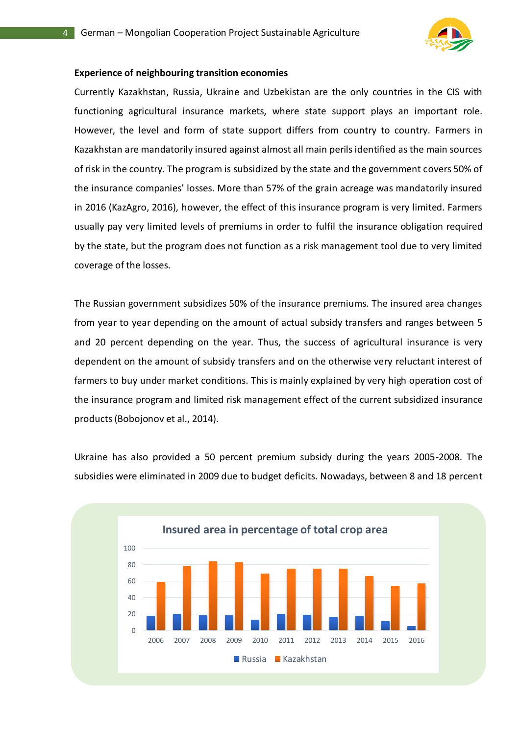

#### **Experience of neighbouring transition economies**

Currently Kazakhstan, Russia, Ukraine and Uzbekistan are the only countries in the CIS with functioning agricultural insurance markets, where state support plays an important role. However, the level and form of state support differs from country to country. Farmers in Kazakhstan are mandatorily insured against almost all main perils identified as the main sources of risk in the country. The program is subsidized by the state and the government covers 50% of the insurance companies' losses. More than 57% of the grain acreage was mandatorily insured in 2016 (KazAgro, 2016), however, the effect of this insurance program is very limited. Farmers usually pay very limited levels of premiums in order to fulfil the insurance obligation required by the state, but the program does not function as a risk management tool due to very limited coverage of the losses.

The Russian government subsidizes 50% of the insurance premiums. The insured area changes from year to year depending on the amount of actual subsidy transfers and ranges between 5 and 20 percent depending on the year. Thus, the success of agricultural insurance is very dependent on the amount of subsidy transfers and on the otherwise very reluctant interest of farmers to buy under market conditions. This is mainly explained by very high operation cost of the insurance program and limited risk management effect of the current subsidized insurance products (Bobojonov et al., 2014).

Ukraine has also provided a 50 percent premium subsidy during the years 2005-2008. The subsidies were eliminated in 2009 due to budget deficits. Nowadays, between 8 and 18 percent

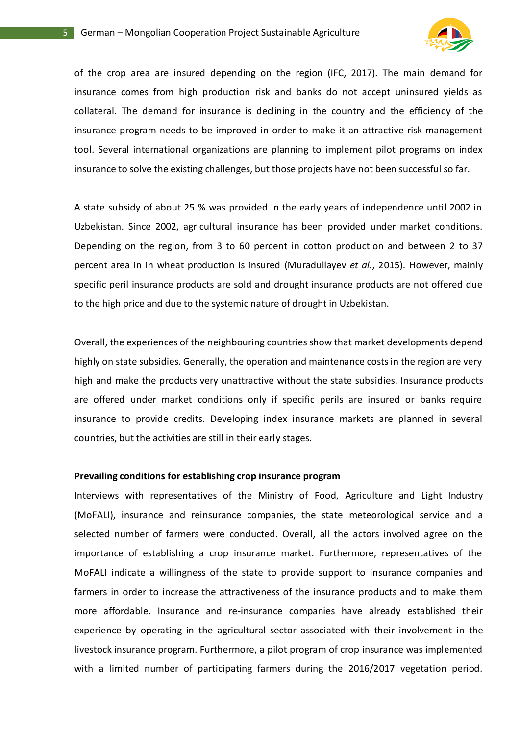

of the crop area are insured depending on the region (IFC, 2017). The main demand for insurance comes from high production risk and banks do not accept uninsured yields as collateral. The demand for insurance is declining in the country and the efficiency of the insurance program needs to be improved in order to make it an attractive risk management tool. Several international organizations are planning to implement pilot programs on index insurance to solve the existing challenges, but those projects have not been successful so far.

A state subsidy of about 25 % was provided in the early years of independence until 2002 in Uzbekistan. Since 2002, agricultural insurance has been provided under market conditions. Depending on the region, from 3 to 60 percent in cotton production and between 2 to 37 percent area in in wheat production is insured (Muradullayev *et al.*, 2015). However, mainly specific peril insurance products are sold and drought insurance products are not offered due to the high price and due to the systemic nature of drought in Uzbekistan.

Overall, the experiences of the neighbouring countries show that market developments depend highly on state subsidies. Generally, the operation and maintenance costs in the region are very high and make the products very unattractive without the state subsidies. Insurance products are offered under market conditions only if specific perils are insured or banks require insurance to provide credits. Developing index insurance markets are planned in several countries, but the activities are still in their early stages.

#### **Prevailing conditions for establishing crop insurance program**

Interviews with representatives of the Ministry of Food, Agriculture and Light Industry (MoFALI), insurance and reinsurance companies, the state meteorological service and a selected number of farmers were conducted. Overall, all the actors involved agree on the importance of establishing a crop insurance market. Furthermore, representatives of the MoFALI indicate a willingness of the state to provide support to insurance companies and farmers in order to increase the attractiveness of the insurance products and to make them more affordable. Insurance and re-insurance companies have already established their experience by operating in the agricultural sector associated with their involvement in the livestock insurance program. Furthermore, a pilot program of crop insurance was implemented with a limited number of participating farmers during the 2016/2017 vegetation period.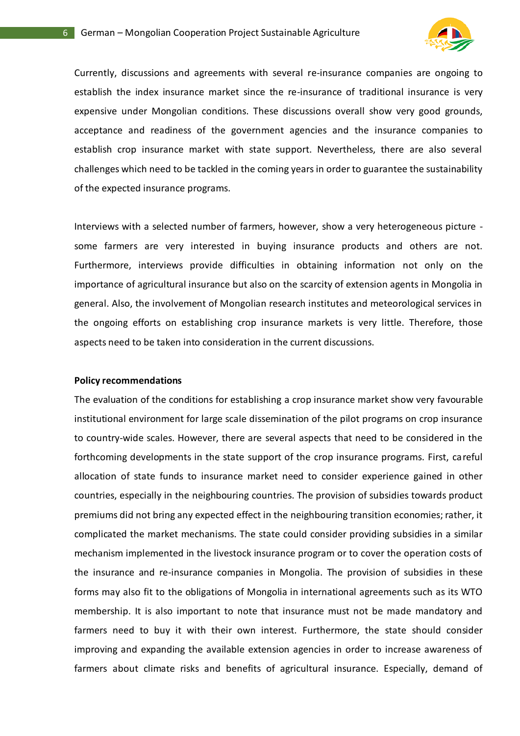

Currently, discussions and agreements with several re-insurance companies are ongoing to establish the index insurance market since the re-insurance of traditional insurance is very expensive under Mongolian conditions. These discussions overall show very good grounds, acceptance and readiness of the government agencies and the insurance companies to establish crop insurance market with state support. Nevertheless, there are also several challenges which need to be tackled in the coming years in order to guarantee the sustainability of the expected insurance programs.

Interviews with a selected number of farmers, however, show a very heterogeneous picture some farmers are very interested in buying insurance products and others are not. Furthermore, interviews provide difficulties in obtaining information not only on the importance of agricultural insurance but also on the scarcity of extension agents in Mongolia in general. Also, the involvement of Mongolian research institutes and meteorological services in the ongoing efforts on establishing crop insurance markets is very little. Therefore, those aspects need to be taken into consideration in the current discussions.

#### **Policy recommendations**

The evaluation of the conditions for establishing a crop insurance market show very favourable institutional environment for large scale dissemination of the pilot programs on crop insurance to country-wide scales. However, there are several aspects that need to be considered in the forthcoming developments in the state support of the crop insurance programs. First, careful allocation of state funds to insurance market need to consider experience gained in other countries, especially in the neighbouring countries. The provision of subsidies towards product premiums did not bring any expected effect in the neighbouring transition economies; rather, it complicated the market mechanisms. The state could consider providing subsidies in a similar mechanism implemented in the livestock insurance program or to cover the operation costs of the insurance and re-insurance companies in Mongolia. The provision of subsidies in these forms may also fit to the obligations of Mongolia in international agreements such as its WTO membership. It is also important to note that insurance must not be made mandatory and farmers need to buy it with their own interest. Furthermore, the state should consider improving and expanding the available extension agencies in order to increase awareness of farmers about climate risks and benefits of agricultural insurance. Especially, demand of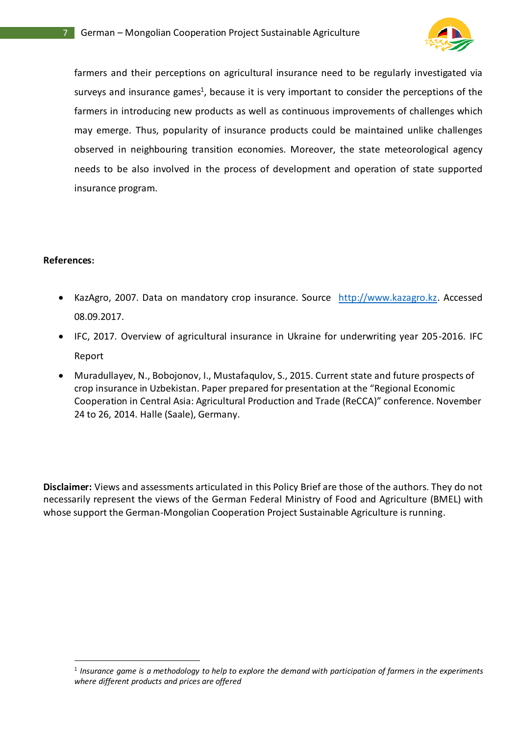

farmers and their perceptions on agricultural insurance need to be regularly investigated via surveys and insurance games<sup>1</sup>, because it is very important to consider the perceptions of the farmers in introducing new products as well as continuous improvements of challenges which may emerge. Thus, popularity of insurance products could be maintained unlike challenges observed in neighbouring transition economies. Moreover, the state meteorological agency needs to be also involved in the process of development and operation of state supported insurance program.

### **References:**

-

- KazAgro, 2007. Data on mandatory crop insurance. Source [http://www.kazagro.kz.](http://www.kazagro.kz/) Accessed 08.09.2017.
- IFC, 2017. Overview of agricultural insurance in Ukraine for underwriting year 205-2016. IFC Report
- Muradullayev, N., Bobojonov, I., Mustafaqulov, S., 2015. Current state and future prospects of crop insurance in Uzbekistan. Paper prepared for presentation at the "Regional Economic Cooperation in Central Asia: Agricultural Production and Trade (ReCCA)" conference. November 24 to 26, 2014. Halle (Saale), Germany.

**Disclaimer:** Views and assessments articulated in this Policy Brief are those of the authors. They do not necessarily represent the views of the German Federal Ministry of Food and Agriculture (BMEL) with whose support the German-Mongolian Cooperation Project Sustainable Agriculture is running.

<sup>1</sup> *Insurance game is a methodology to help to explore the demand with participation of farmers in the experiments where different products and prices are offered*